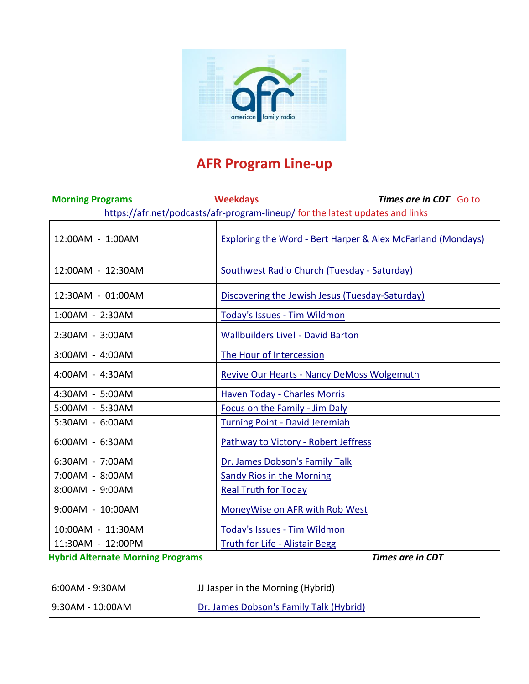

# **AFR Program Line-up**

| <b>Morning Programs</b> | <b>Weekdays</b><br><b>Times are in CDT</b> Go to                              |
|-------------------------|-------------------------------------------------------------------------------|
|                         | https://afr.net/podcasts/afr-program-lineup/ for the latest updates and links |
| 12:00AM - 1:00AM        | <b>Exploring the Word - Bert Harper &amp; Alex McFarland (Mondays)</b>        |
| 12:00AM - 12:30AM       | Southwest Radio Church (Tuesday - Saturday)                                   |
| 12:30AM - 01:00AM       | Discovering the Jewish Jesus (Tuesday-Saturday)                               |
| 1:00AM - 2:30AM         | Today's Issues - Tim Wildmon                                                  |
| 2:30AM - 3:00AM         | <b>Wallbuilders Live! - David Barton</b>                                      |
| 3:00AM - 4:00AM         | The Hour of Intercession                                                      |
| 4:00AM - 4:30AM         | <b>Revive Our Hearts - Nancy DeMoss Wolgemuth</b>                             |
| 4:30AM - 5:00AM         | Haven Today - Charles Morris                                                  |
| 5:00AM - 5:30AM         | Focus on the Family - Jim Daly                                                |
| 5:30AM - 6:00AM         | <b>Turning Point - David Jeremiah</b>                                         |
| 6:00AM - 6:30AM         | Pathway to Victory - Robert Jeffress                                          |
| 6:30AM - 7:00AM         | Dr. James Dobson's Family Talk                                                |
| 7:00AM - 8:00AM         | <b>Sandy Rios in the Morning</b>                                              |
| 8:00AM - 9:00AM         | <b>Real Truth for Today</b>                                                   |
| 9:00AM - 10:00AM        | MoneyWise on AFR with Rob West                                                |
| 10:00AM - 11:30AM       | Today's Issues - Tim Wildmon                                                  |
| 11:30AM - 12:00PM       | Truth for Life - Alistair Begg                                                |

## **Hybrid Alternate Morning Programs** *Times are in CDT*

| 6:00AM - 9:30AM  | <sup> </sup> JJ Jasper in the Morning (Hybrid) |
|------------------|------------------------------------------------|
| 9:30AM - 10:00AM | Dr. James Dobson's Family Talk (Hybrid)        |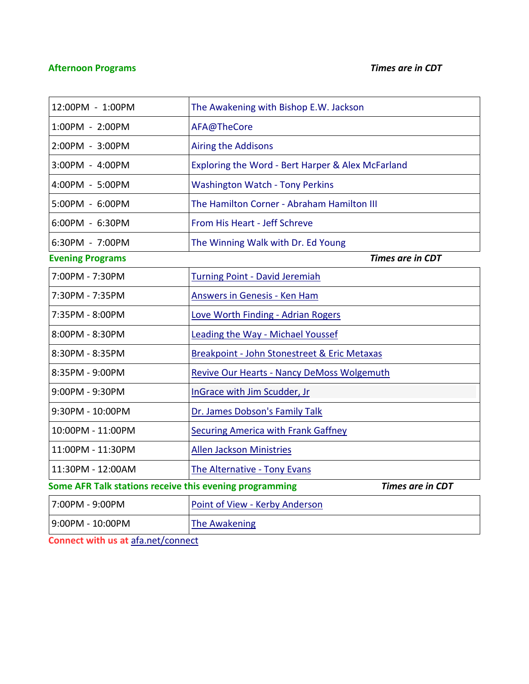## **Afternoon Programs** *Times are in CDT*

| 12:00PM - 1:00PM                                                                   | The Awakening with Bishop E.W. Jackson            |
|------------------------------------------------------------------------------------|---------------------------------------------------|
| 1:00PM - 2:00PM                                                                    | AFA@TheCore                                       |
| 2:00PM - 3:00PM                                                                    | <b>Airing the Addisons</b>                        |
| 3:00PM - 4:00PM                                                                    | Exploring the Word - Bert Harper & Alex McFarland |
| 4:00PM - 5:00PM                                                                    | <b>Washington Watch - Tony Perkins</b>            |
| 5:00PM - 6:00PM                                                                    | The Hamilton Corner - Abraham Hamilton III        |
| 6:00PM - 6:30PM                                                                    | From His Heart - Jeff Schreve                     |
| 6:30PM - 7:00PM                                                                    | The Winning Walk with Dr. Ed Young                |
| <b>Evening Programs</b>                                                            | <b>Times are in CDT</b>                           |
| 7:00PM - 7:30PM                                                                    | <b>Turning Point - David Jeremiah</b>             |
| 7:30PM - 7:35PM                                                                    | Answers in Genesis - Ken Ham                      |
| 7:35PM - 8:00PM                                                                    | Love Worth Finding - Adrian Rogers                |
| 8:00PM - 8:30PM                                                                    | Leading the Way - Michael Youssef                 |
| 8:30PM - 8:35PM                                                                    | Breakpoint - John Stonestreet & Eric Metaxas      |
| 8:35PM - 9:00PM                                                                    | <b>Revive Our Hearts - Nancy DeMoss Wolgemuth</b> |
| 9:00PM - 9:30PM                                                                    | InGrace with Jim Scudder, Jr                      |
| 9:30PM - 10:00PM                                                                   | Dr. James Dobson's Family Talk                    |
| 10:00PM - 11:00PM                                                                  | <b>Securing America with Frank Gaffney</b>        |
| 11:00PM - 11:30PM                                                                  | <b>Allen Jackson Ministries</b>                   |
| 11:30PM - 12:00AM                                                                  | <b>The Alternative - Tony Evans</b>               |
| <b>Times are in CDT</b><br>Some AFR Talk stations receive this evening programming |                                                   |
| 7:00PM - 9:00PM                                                                    | Point of View - Kerby Anderson                    |
| 9:00PM - 10:00PM                                                                   | <b>The Awakening</b>                              |

**Connect with us at** [afa.net/connect](https://www.afa.net/connect)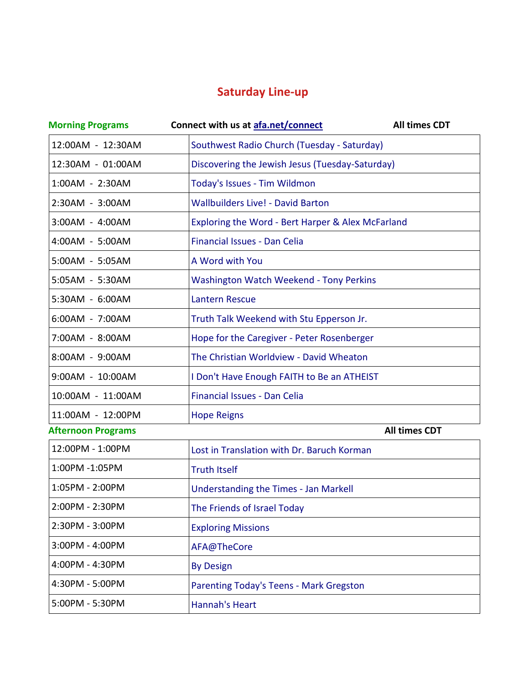## **Saturday Line-up**

| <b>Morning Programs</b>   | Connect with us at afa.net/connect                | <b>All times CDT</b> |
|---------------------------|---------------------------------------------------|----------------------|
| 12:00AM - 12:30AM         | Southwest Radio Church (Tuesday - Saturday)       |                      |
| 12:30AM - 01:00AM         | Discovering the Jewish Jesus (Tuesday-Saturday)   |                      |
| 1:00AM - 2:30AM           | Today's Issues - Tim Wildmon                      |                      |
| 2:30AM - 3:00AM           | <b>Wallbuilders Live! - David Barton</b>          |                      |
| 3:00AM - 4:00AM           | Exploring the Word - Bert Harper & Alex McFarland |                      |
| 4:00AM - 5:00AM           | Financial Issues - Dan Celia                      |                      |
| 5:00AM - 5:05AM           | A Word with You                                   |                      |
| 5:05AM - 5:30AM           | <b>Washington Watch Weekend - Tony Perkins</b>    |                      |
| 5:30AM - 6:00AM           | <b>Lantern Rescue</b>                             |                      |
| 6:00AM - 7:00AM           | Truth Talk Weekend with Stu Epperson Jr.          |                      |
| 7:00AM - 8:00AM           | Hope for the Caregiver - Peter Rosenberger        |                      |
| 8:00AM - 9:00AM           | The Christian Worldview - David Wheaton           |                      |
| 9:00AM - 10:00AM          | I Don't Have Enough FAITH to Be an ATHEIST        |                      |
| 10:00AM - 11:00AM         | <b>Financial Issues - Dan Celia</b>               |                      |
| 11:00AM - 12:00PM         | <b>Hope Reigns</b>                                |                      |
| <b>Afternoon Programs</b> |                                                   | <b>All times CDT</b> |
| 12:00PM - 1:00PM          | Lost in Translation with Dr. Baruch Korman        |                      |
| 1:00PM -1:05PM            | <b>Truth Itself</b>                               |                      |
| 1:05PM - 2:00PM           | Understanding the Times - Jan Markell             |                      |
| 2:00PM - 2:30PM           | The Friends of Israel Today                       |                      |
| 2:30PM - 3:00PM           | <b>Exploring Missions</b>                         |                      |
| 3:00PM - 4:00PM           | AFA@TheCore                                       |                      |
| 4:00PM - 4:30PM           | <b>By Design</b>                                  |                      |
| 4:30PM - 5:00PM           | Parenting Today's Teens - Mark Gregston           |                      |
| 5:00PM - 5:30PM           | <b>Hannah's Heart</b>                             |                      |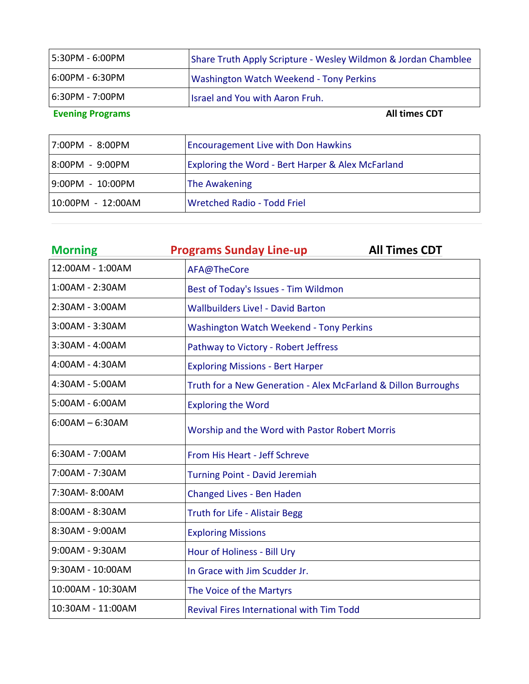| 5:30PM - 6:00PM         | Share Truth Apply Scripture - Wesley Wildmon & Jordan Chamblee |
|-------------------------|----------------------------------------------------------------|
| 6:00PM - 6:30PM         | Washington Watch Weekend - Tony Perkins                        |
| 6:30PM - 7:00PM         | <b>Israel and You with Aaron Fruh.</b>                         |
| <b>Evening Programs</b> | <b>All times CDT</b>                                           |

| 7:00PM - 8:00PM   | <b>Encouragement Live with Don Hawkins</b>        |
|-------------------|---------------------------------------------------|
| 8:00PM - 9:00PM   | Exploring the Word - Bert Harper & Alex McFarland |
| 9:00PM - 10:00PM  | <b>The Awakening</b>                              |
| 10:00PM - 12:00AM | <b>Wretched Radio - Todd Friel</b>                |

| <b>Morning</b>    | <b>Programs Sunday Line-up</b><br><b>All Times CDT</b>         |
|-------------------|----------------------------------------------------------------|
| 12:00AM - 1:00AM  | AFA@TheCore                                                    |
| 1:00AM - 2:30AM   | Best of Today's Issues - Tim Wildmon                           |
| 2:30AM - 3:00AM   | <b>Wallbuilders Live! - David Barton</b>                       |
| 3:00AM - 3:30AM   | <b>Washington Watch Weekend - Tony Perkins</b>                 |
| 3:30AM - 4:00AM   | Pathway to Victory - Robert Jeffress                           |
| 4:00AM - 4:30AM   | <b>Exploring Missions - Bert Harper</b>                        |
| 4:30AM - 5:00AM   | Truth for a New Generation - Alex McFarland & Dillon Burroughs |
| 5:00AM - 6:00AM   | <b>Exploring the Word</b>                                      |
| $6:00AM - 6:30AM$ | Worship and the Word with Pastor Robert Morris                 |
| 6:30AM - 7:00AM   | From His Heart - Jeff Schreve                                  |
| 7:00AM - 7:30AM   | <b>Turning Point - David Jeremiah</b>                          |
| 7:30AM-8:00AM     | Changed Lives - Ben Haden                                      |
| 8:00AM - 8:30AM   | <b>Truth for Life - Alistair Begg</b>                          |
| 8:30AM - 9:00AM   | <b>Exploring Missions</b>                                      |
| 9:00AM - 9:30AM   | Hour of Holiness - Bill Ury                                    |
| 9:30AM - 10:00AM  | In Grace with Jim Scudder Jr.                                  |
| 10:00AM - 10:30AM | The Voice of the Martyrs                                       |
| 10:30AM - 11:00AM | <b>Revival Fires International with Tim Todd</b>               |